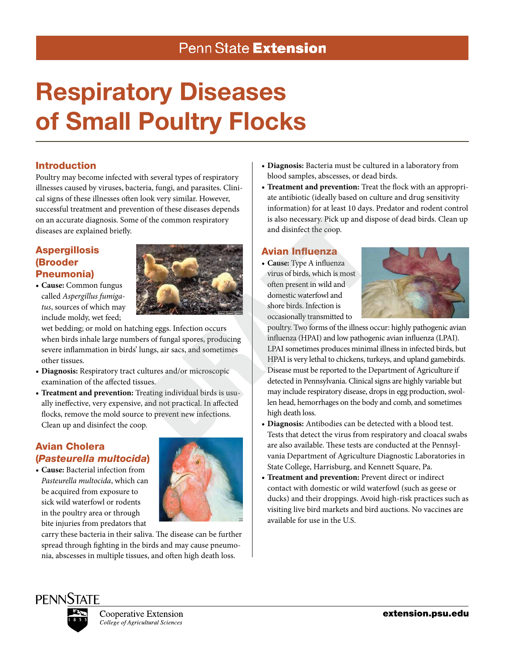# Penn State Extension

# Respiratory Diseases of Small Poultry Flocks

# Introduction

Poultry may become infected with several types of respiratory illnesses caused by viruses, bacteria, fungi, and parasites. Clinical signs of these illnesses often look very similar. However, successful treatment and prevention of these diseases depends on an accurate diagnosis. Some of the common respiratory diseases are explained briefly.

# **Aspergillosis** (Brooder Pneumonia)



**• Cause:** Common fungus called *Aspergillus fumigatus*, sources of which may include moldy, wet feed;

wet bedding; or mold on hatching eggs. Infection occurs when birds inhale large numbers of fungal spores, producing severe inflammation in birds' lungs, air sacs, and sometimes other tissues.

- **• Diagnosis:** Respiratory tract cultures and/or microscopic examination of the affected tissues.
- **• Treatment and prevention:** Treating individual birds is usually ineffective, very expensive, and not practical. In affected flocks, remove the mold source to prevent new infections. Clean up and disinfect the coop.

# Avian Cholera (*Pasteurella multocida*)

**• Cause:** Bacterial infection from *Pasteurella multocida*, which can be acquired from exposure to sick wild waterfowl or rodents in the poultry area or through bite injuries from predators that



carry these bacteria in their saliva. The disease can be further spread through fighting in the birds and may cause pneumonia, abscesses in multiple tissues, and often high death loss.

- **• Diagnosis:** Bacteria must be cultured in a laboratory from blood samples, abscesses, or dead birds.
- **• Treatment and prevention:** Treat the flock with an appropriate antibiotic (ideally based on culture and drug sensitivity information) for at least 10 days. Predator and rodent control is also necessary. Pick up and dispose of dead birds. Clean up and disinfect the coop.

#### Avian Influenza

**• Cause:** Type A influenza virus of birds, which is most often present in wild and domestic waterfowl and shore birds. Infection is occasionally transmitted to



poultry. Two forms of the illness occur: highly pathogenic avian influenza (HPAI) and low pathogenic avian influenza (LPAI). LPAI sometimes produces minimal illness in infected birds, but HPAI is very lethal to chickens, turkeys, and upland gamebirds. Disease must be reported to the Department of Agriculture if detected in Pennsylvania. Clinical signs are highly variable but may include respiratory disease, drops in egg production, swollen head, hemorrhages on the body and comb, and sometimes high death loss.

- **• Diagnosis:** Antibodies can be detected with a blood test. Tests that detect the virus from respiratory and cloacal swabs are also available. These tests are conducted at the Pennsylvania Department of Agriculture Diagnostic Laboratories in State College, Harrisburg, and Kennett Square, Pa.
- **• Treatment and prevention:** Prevent direct or indirect contact with domestic or wild waterfowl (such as geese or ducks) and their droppings. Avoid high-risk practices such as visiting live bird markets and bird auctions. No vaccines are available for use in the U.S.

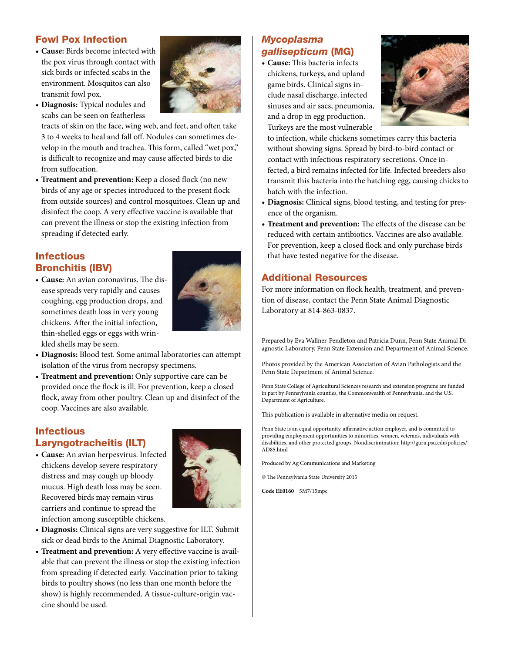#### Fowl Pox Infection

**• Cause:** Birds become infected with the pox virus through contact with sick birds or infected scabs in the environment. Mosquitos can also transmit fowl pox.



**• Diagnosis:** Typical nodules and scabs can be seen on featherless

tracts of skin on the face, wing web, and feet, and often take 3 to 4 weeks to heal and fall off. Nodules can sometimes develop in the mouth and trachea. This form, called "wet pox," is difficult to recognize and may cause affected birds to die from suffocation.

**• Treatment and prevention:** Keep a closed flock (no new birds of any age or species introduced to the present flock from outside sources) and control mosquitoes. Clean up and disinfect the coop. A very effective vaccine is available that can prevent the illness or stop the existing infection from spreading if detected early.

# **Infectious** Bronchitis (IBV)

**• Cause:** An avian coronavirus. The disease spreads very rapidly and causes coughing, egg production drops, and sometimes death loss in very young chickens. After the initial infection, thin-shelled eggs or eggs with wrinkled shells may be seen.



**• Diagnosis:** Blood test. Some animal laboratories can attempt isolation of the virus from necropsy specimens.

**• Treatment and prevention:** Only supportive care can be provided once the flock is ill. For prevention, keep a closed flock, away from other poultry. Clean up and disinfect of the coop. Vaccines are also available.

#### Infectious Laryngotracheitis (ILT)

**• Cause:** An avian herpesvirus. Infected chickens develop severe respiratory distress and may cough up bloody mucus. High death loss may be seen. Recovered birds may remain virus carriers and continue to spread the infection among susceptible chickens.



- **• Diagnosis:** Clinical signs are very suggestive for ILT. Submit sick or dead birds to the Animal Diagnostic Laboratory.
- **• Treatment and prevention:** A very effective vaccine is available that can prevent the illness or stop the existing infection from spreading if detected early. Vaccination prior to taking birds to poultry shows (no less than one month before the show) is highly recommended. A tissue-culture-origin vaccine should be used.

# *Mycoplasma gallisepticum* (MG)

**• Cause:** This bacteria infects chickens, turkeys, and upland game birds. Clinical signs include nasal discharge, infected sinuses and air sacs, pneumonia, and a drop in egg production. Turkeys are the most vulnerable



to infection, while chickens sometimes carry this bacteria without showing signs. Spread by bird-to-bird contact or contact with infectious respiratory secretions. Once infected, a bird remains infected for life. Infected breeders also transmit this bacteria into the hatching egg, causing chicks to hatch with the infection.

- **• Diagnosis:** Clinical signs, blood testing, and testing for presence of the organism.
- **• Treatment and prevention:** The effects of the disease can be reduced with certain antibiotics. Vaccines are also available. For prevention, keep a closed flock and only purchase birds that have tested negative for the disease.

#### Additional Resources

For more information on flock health, treatment, and prevention of disease, contact the Penn State Animal Diagnostic Laboratory at 814-863-0837.

Prepared by Eva Wallner-Pendleton and Patricia Dunn, Penn State Animal Diagnostic Laboratory, Penn State Extension and Department of Animal Science.

Photos provided by the American Association of Avian Pathologists and the Penn State Department of Animal Science.

Penn State College of Agricultural Sciences research and extension programs are funded in part by Pennsylvania counties, the Commonwealth of Pennsylvania, and the U.S. Department of Agriculture.

This publication is available in alternative media on request.

Penn State is an equal opportunity, affirmative action employer, and is committed to providing employment opportunities to minorities, women, veterans, individuals with disabilities, and other protected groups. Nondiscrimination: http://guru.psu.edu/policies/ AD85.html

Produced by Ag Communications and Marketing

© The Pennsylvania State University 2015

**Code EE0160** 5M7/15mpc